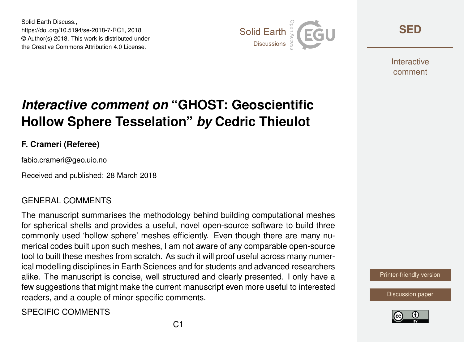Solid Earth Discuss., https://doi.org/10.5194/se-2018-7-RC1, 2018 © Author(s) 2018. This work is distributed under the Creative Commons Attribution 4.0 License.



**[SED](https://www.solid-earth-discuss.net/)**

**Interactive** comment

# *Interactive comment on* **"GHOST: Geoscientific Hollow Sphere Tesselation"** *by* **Cedric Thieulot**

### **F. Crameri (Referee)**

fabio.crameri@geo.uio.no

Received and published: 28 March 2018

#### GENERAL COMMENTS

The manuscript summarises the methodology behind building computational meshes for spherical shells and provides a useful, novel open-source software to build three commonly used 'hollow sphere' meshes efficiently. Even though there are many numerical codes built upon such meshes, I am not aware of any comparable open-source tool to built these meshes from scratch. As such it will proof useful across many numerical modelling disciplines in Earth Sciences and for students and advanced researchers alike. The manuscript is concise, well structured and clearly presented. I only have a few suggestions that might make the current manuscript even more useful to interested readers, and a couple of minor specific comments.

SPECIFIC COMMENTS

[Printer-friendly version](https://www.solid-earth-discuss.net/se-2018-7/se-2018-7-RC1-print.pdf)

[Discussion paper](https://www.solid-earth-discuss.net/se-2018-7)

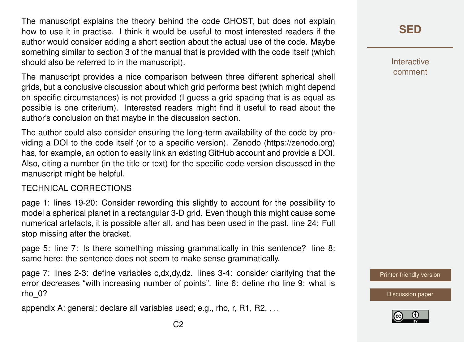The manuscript explains the theory behind the code GHOST, but does not explain how to use it in practise. I think it would be useful to most interested readers if the author would consider adding a short section about the actual use of the code. Maybe something similar to section 3 of the manual that is provided with the code itself (which should also be referred to in the manuscript).

The manuscript provides a nice comparison between three different spherical shell grids, but a conclusive discussion about which grid performs best (which might depend on specific circumstances) is not provided (I guess a grid spacing that is as equal as possible is one criterium). Interested readers might find it useful to read about the author's conclusion on that maybe in the discussion section.

The author could also consider ensuring the long-term availability of the code by providing a DOI to the code itself (or to a specific version). Zenodo (https://zenodo.org) has, for example, an option to easily link an existing GitHub account and provide a DOI. Also, citing a number (in the title or text) for the specific code version discussed in the manuscript might be helpful.

#### TECHNICAL CORRECTIONS

page 1: lines 19-20: Consider rewording this slightly to account for the possibility to model a spherical planet in a rectangular 3-D grid. Even though this might cause some numerical artefacts, it is possible after all, and has been used in the past. line 24: Full stop missing after the bracket.

page 5: line 7: Is there something missing grammatically in this sentence? line 8: same here: the sentence does not seem to make sense grammatically.

page 7: lines 2-3: define variables c,dx,dy,dz. lines 3-4: consider clarifying that the error decreases "with increasing number of points". line 6: define rho line 9: what is rho\_0?

appendix A: general: declare all variables used; e.g., rho, r, R1, R2, . . .

Interactive comment

[Printer-friendly version](https://www.solid-earth-discuss.net/se-2018-7/se-2018-7-RC1-print.pdf)

[Discussion paper](https://www.solid-earth-discuss.net/se-2018-7)